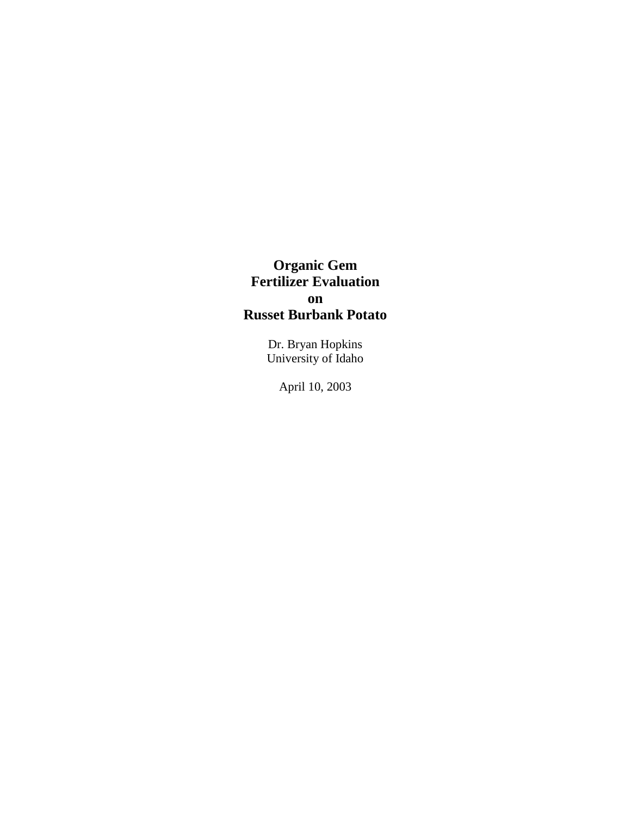# **Organic Gem Fertilizer Evaluation on Russet Burbank Potato**

Dr. Bryan Hopkins University of Idaho

April 10, 2003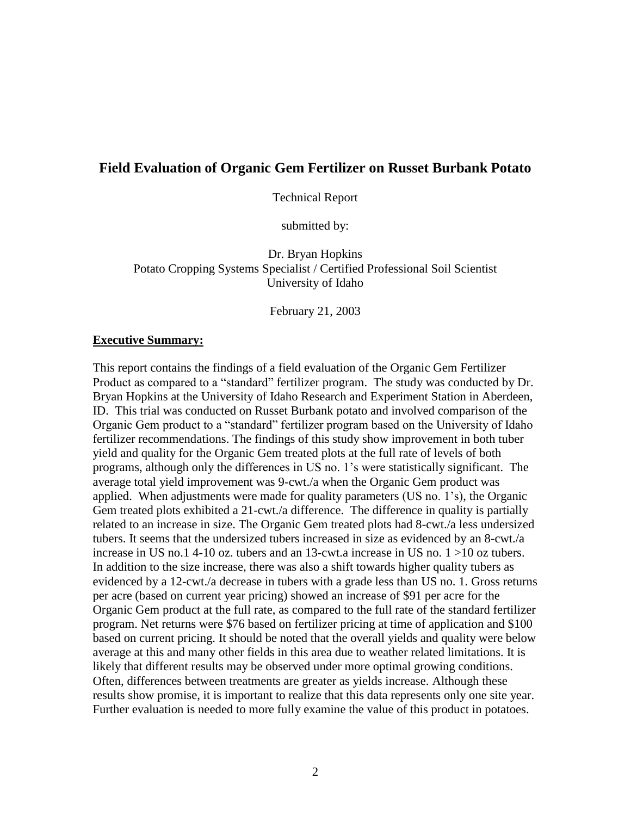## **Field Evaluation of Organic Gem Fertilizer on Russet Burbank Potato**

Technical Report

submitted by:

Dr. Bryan Hopkins Potato Cropping Systems Specialist / Certified Professional Soil Scientist University of Idaho

February 21, 2003

#### **Executive Summary:**

This report contains the findings of a field evaluation of the Organic Gem Fertilizer Product as compared to a "standard" fertilizer program. The study was conducted by Dr. Bryan Hopkins at the University of Idaho Research and Experiment Station in Aberdeen, ID. This trial was conducted on Russet Burbank potato and involved comparison of the Organic Gem product to a "standard" fertilizer program based on the University of Idaho fertilizer recommendations. The findings of this study show improvement in both tuber yield and quality for the Organic Gem treated plots at the full rate of levels of both programs, although only the differences in US no. 1's were statistically significant. The average total yield improvement was 9-cwt./a when the Organic Gem product was applied. When adjustments were made for quality parameters (US no. 1's), the Organic Gem treated plots exhibited a 21-cwt./a difference. The difference in quality is partially related to an increase in size. The Organic Gem treated plots had 8-cwt./a less undersized tubers. It seems that the undersized tubers increased in size as evidenced by an 8-cwt./a increase in US no.1 4-10 oz. tubers and an 13-cwt.a increase in US no. 1 >10 oz tubers. In addition to the size increase, there was also a shift towards higher quality tubers as evidenced by a 12-cwt./a decrease in tubers with a grade less than US no. 1. Gross returns per acre (based on current year pricing) showed an increase of \$91 per acre for the Organic Gem product at the full rate, as compared to the full rate of the standard fertilizer program. Net returns were \$76 based on fertilizer pricing at time of application and \$100 based on current pricing. It should be noted that the overall yields and quality were below average at this and many other fields in this area due to weather related limitations. It is likely that different results may be observed under more optimal growing conditions. Often, differences between treatments are greater as yields increase. Although these results show promise, it is important to realize that this data represents only one site year. Further evaluation is needed to more fully examine the value of this product in potatoes.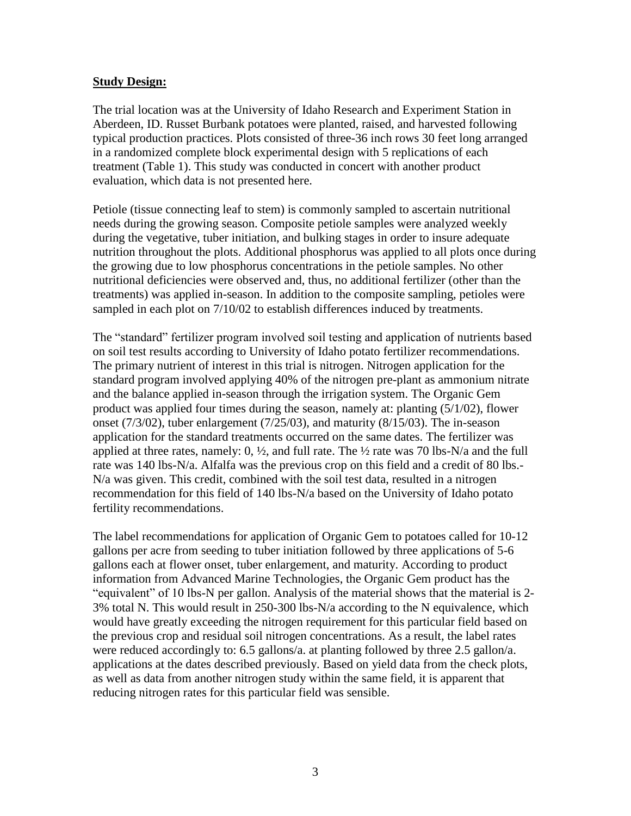#### **Study Design:**

The trial location was at the University of Idaho Research and Experiment Station in Aberdeen, ID. Russet Burbank potatoes were planted, raised, and harvested following typical production practices. Plots consisted of three-36 inch rows 30 feet long arranged in a randomized complete block experimental design with 5 replications of each treatment (Table 1). This study was conducted in concert with another product evaluation, which data is not presented here.

Petiole (tissue connecting leaf to stem) is commonly sampled to ascertain nutritional needs during the growing season. Composite petiole samples were analyzed weekly during the vegetative, tuber initiation, and bulking stages in order to insure adequate nutrition throughout the plots. Additional phosphorus was applied to all plots once during the growing due to low phosphorus concentrations in the petiole samples. No other nutritional deficiencies were observed and, thus, no additional fertilizer (other than the treatments) was applied in-season. In addition to the composite sampling, petioles were sampled in each plot on  $7/10/02$  to establish differences induced by treatments.

The "standard" fertilizer program involved soil testing and application of nutrients based on soil test results according to University of Idaho potato fertilizer recommendations. The primary nutrient of interest in this trial is nitrogen. Nitrogen application for the standard program involved applying 40% of the nitrogen pre-plant as ammonium nitrate and the balance applied in-season through the irrigation system. The Organic Gem product was applied four times during the season, namely at: planting (5/1/02), flower onset (7/3/02), tuber enlargement (7/25/03), and maturity (8/15/03). The in-season application for the standard treatments occurred on the same dates. The fertilizer was applied at three rates, namely: 0, ½, and full rate. The ½ rate was 70 lbs-N/a and the full rate was 140 lbs-N/a. Alfalfa was the previous crop on this field and a credit of 80 lbs.- N/a was given. This credit, combined with the soil test data, resulted in a nitrogen recommendation for this field of 140 lbs-N/a based on the University of Idaho potato fertility recommendations.

The label recommendations for application of Organic Gem to potatoes called for 10-12 gallons per acre from seeding to tuber initiation followed by three applications of 5-6 gallons each at flower onset, tuber enlargement, and maturity. According to product information from Advanced Marine Technologies, the Organic Gem product has the "equivalent" of 10 lbs-N per gallon. Analysis of the material shows that the material is 2- 3% total N. This would result in 250-300 lbs-N/a according to the N equivalence, which would have greatly exceeding the nitrogen requirement for this particular field based on the previous crop and residual soil nitrogen concentrations. As a result, the label rates were reduced accordingly to: 6.5 gallons/a. at planting followed by three 2.5 gallon/a. applications at the dates described previously. Based on yield data from the check plots, as well as data from another nitrogen study within the same field, it is apparent that reducing nitrogen rates for this particular field was sensible.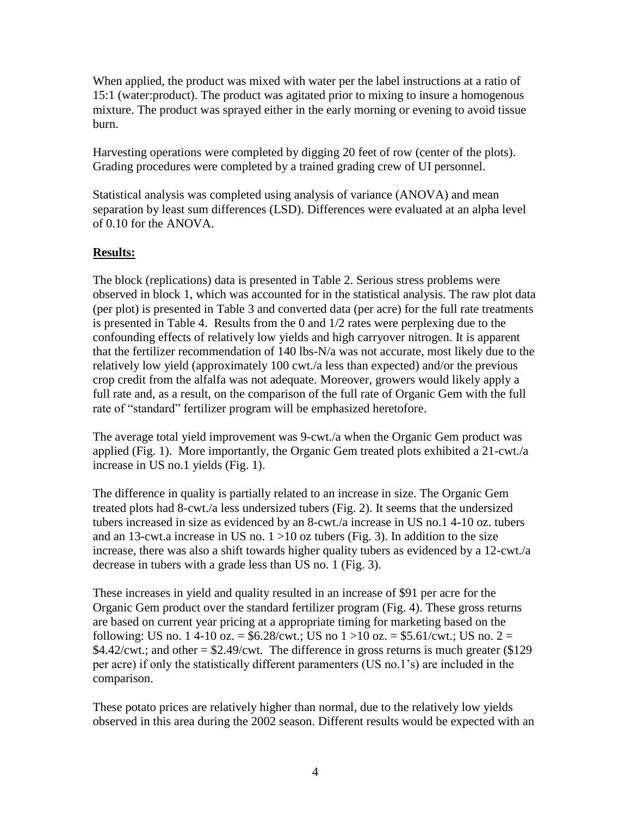When applied, the product was mixed with water per the label instructions at a ratio of 15:1 (water:product). The product was agitated prior to mixing to insure a homogenous mixture. The product was sprayed either in the early morning or evening to avoid tissue burn.

Harvesting operations were completed by digging 20 feet of row (center of the plots). Grading procedures were completed by a trained grading crew of UI personnel.

Statistical analysis was completed using analysis of variance (ANOVA) and mean separation by least sum differences (LSD). Differences were evaluated at an alpha level of 0.10 for the ANOVA.

### **Results:**

The block (replications) data is presented in Table 2. Serious stress problems were observed in block 1, which was accounted for in the statistical analysis. The raw plot data (per plot) is presented in Table 3 and converted data (per acre) for the full rate treatments is presented in Table 4. Results from the 0 and 1/2 rates were perplexing due to the confounding effects of relatively low yields and high carryover nitrogen. It is apparent that the fertilizer recommendation of 140 lbs-N/a was not accurate, most likely due to the relatively low yield (approximately 100 cwt./a less than expected) and/or the previous crop credit from the alfalfa was not adequate. Moreover, growers would likely apply a full rate and, as a result, on the comparison of the full rate of Organic Gem with the full rate of "standard" fertilizer program will be emphasized heretofore.

The average total yield improvement was 9-cwt./a when the Organic Gem product was applied (Fig. 1). More importantly, the Organic Gem treated plots exhibited a 21-cwt./a increase in US no.1 yields (Fig. 1).

The difference in quality is partially related to an increase in size. The Organic Gem treated plots had 8-cwt./a less undersized tubers (Fig. 2). It seems that the undersized tubers increased in size as evidenced by an 8-cwt./a increase in US no.1 4-10 oz. tubers and an 13-cwt.a increase in US no.  $1 > 10$  oz tubers (Fig. 3). In addition to the size increase, there was also a shift towards higher quality tubers as evidenced by a 12-cwt./a decrease in tubers with a grade less than US no. 1 (Fig. 3).

These increases in yield and quality resulted in an increase of \$91 per acre for the Organic Gem product over the standard fertilizer program (Fig. 4). These gross returns are based on current year pricing at a appropriate timing for marketing based on the following: US no. 1 4-10 oz. =  $$6.28/\text{cwt}$ ; US no  $1 > 10$  oz. =  $$5.61/\text{cwt}$ ; US no. 2 =  $$4.42/cwt$ ; and other =  $$2.49/cwt$ . The difference in gross returns is much greater (\$129) per acre) if only the statistically different paramenters (US no.1's) are included in the comparison.

These potato prices are relatively higher than normal, due to the relatively low yields observed in this area during the 2002 season. Different results would be expected with an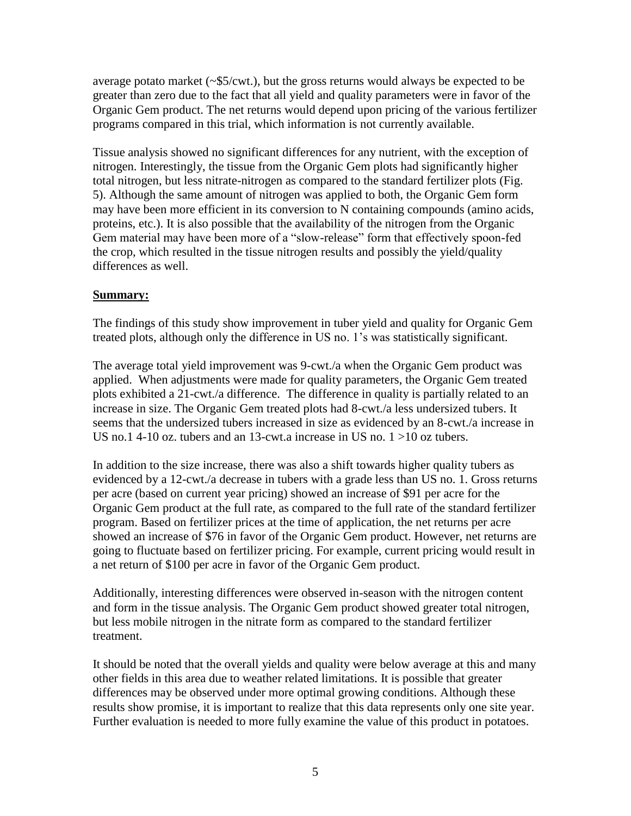average potato market  $(\sim 55/cm)$ , but the gross returns would always be expected to be greater than zero due to the fact that all yield and quality parameters were in favor of the Organic Gem product. The net returns would depend upon pricing of the various fertilizer programs compared in this trial, which information is not currently available.

Tissue analysis showed no significant differences for any nutrient, with the exception of nitrogen. Interestingly, the tissue from the Organic Gem plots had significantly higher total nitrogen, but less nitrate-nitrogen as compared to the standard fertilizer plots (Fig. 5). Although the same amount of nitrogen was applied to both, the Organic Gem form may have been more efficient in its conversion to N containing compounds (amino acids, proteins, etc.). It is also possible that the availability of the nitrogen from the Organic Gem material may have been more of a "slow-release" form that effectively spoon-fed the crop, which resulted in the tissue nitrogen results and possibly the yield/quality differences as well.

### **Summary:**

The findings of this study show improvement in tuber yield and quality for Organic Gem treated plots, although only the difference in US no. 1's was statistically significant.

The average total yield improvement was 9-cwt./a when the Organic Gem product was applied. When adjustments were made for quality parameters, the Organic Gem treated plots exhibited a 21-cwt./a difference. The difference in quality is partially related to an increase in size. The Organic Gem treated plots had 8-cwt./a less undersized tubers. It seems that the undersized tubers increased in size as evidenced by an 8-cwt./a increase in US no.1 4-10 oz. tubers and an 13-cwt.a increase in US no. 1 > 10 oz tubers.

In addition to the size increase, there was also a shift towards higher quality tubers as evidenced by a 12-cwt./a decrease in tubers with a grade less than US no. 1. Gross returns per acre (based on current year pricing) showed an increase of \$91 per acre for the Organic Gem product at the full rate, as compared to the full rate of the standard fertilizer program. Based on fertilizer prices at the time of application, the net returns per acre showed an increase of \$76 in favor of the Organic Gem product. However, net returns are going to fluctuate based on fertilizer pricing. For example, current pricing would result in a net return of \$100 per acre in favor of the Organic Gem product.

Additionally, interesting differences were observed in-season with the nitrogen content and form in the tissue analysis. The Organic Gem product showed greater total nitrogen, but less mobile nitrogen in the nitrate form as compared to the standard fertilizer treatment.

It should be noted that the overall yields and quality were below average at this and many other fields in this area due to weather related limitations. It is possible that greater differences may be observed under more optimal growing conditions. Although these results show promise, it is important to realize that this data represents only one site year. Further evaluation is needed to more fully examine the value of this product in potatoes.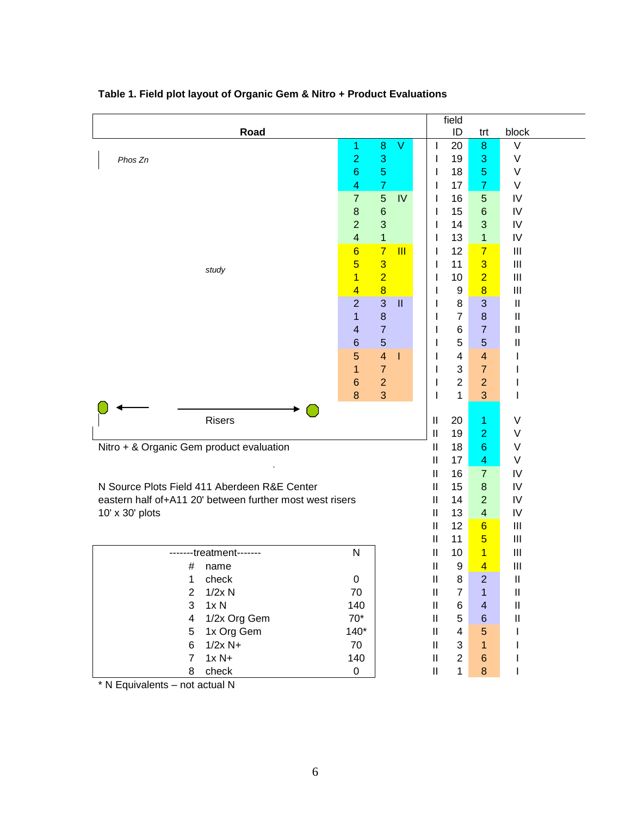| Road                                                     |                         |                         |                           |               |                            | ID             | trt             | block                                                                                                                                                                                                                                                                                                                                                                                                                                                                                                                                    |
|----------------------------------------------------------|-------------------------|-------------------------|---------------------------|---------------|----------------------------|----------------|-----------------|------------------------------------------------------------------------------------------------------------------------------------------------------------------------------------------------------------------------------------------------------------------------------------------------------------------------------------------------------------------------------------------------------------------------------------------------------------------------------------------------------------------------------------------|
|                                                          | 1                       | $\bf 8$                 | V                         |               | L                          | 20             | 8               | V                                                                                                                                                                                                                                                                                                                                                                                                                                                                                                                                        |
| Phos Zn                                                  | $\overline{2}$          | 3                       |                           |               | I.                         | 19             | 3               | $\sf V$                                                                                                                                                                                                                                                                                                                                                                                                                                                                                                                                  |
|                                                          | $6\phantom{1}$          | $\overline{5}$          |                           |               | L                          | 18             | $\overline{5}$  | V                                                                                                                                                                                                                                                                                                                                                                                                                                                                                                                                        |
|                                                          | 4                       | $\overline{7}$          |                           |               |                            | 17             | $\overline{7}$  | $\vee$                                                                                                                                                                                                                                                                                                                                                                                                                                                                                                                                   |
|                                                          | $\overline{7}$          | $\overline{5}$          | IV                        |               | I.                         | 16             | $\overline{5}$  | IV                                                                                                                                                                                                                                                                                                                                                                                                                                                                                                                                       |
|                                                          | $\, 8$                  | $\,6\,$                 |                           |               |                            | 15             | $6\phantom{1}6$ | IV                                                                                                                                                                                                                                                                                                                                                                                                                                                                                                                                       |
|                                                          | $\overline{2}$          | $\mathbf{3}$            |                           |               | I.                         | 14             | 3               | IV                                                                                                                                                                                                                                                                                                                                                                                                                                                                                                                                       |
|                                                          | $\overline{4}$          | $\mathbf 1$             |                           |               |                            | 13             | $\overline{1}$  | IV                                                                                                                                                                                                                                                                                                                                                                                                                                                                                                                                       |
|                                                          | $6\overline{6}$         | $\overline{7}$          | $\overline{\mathsf{III}}$ |               | I                          | 12             | $\overline{7}$  | $\mathbf{III}$                                                                                                                                                                                                                                                                                                                                                                                                                                                                                                                           |
|                                                          | $\overline{5}$          | $\overline{3}$          |                           |               | I.                         | 11             | $\overline{3}$  | $\mathbf{III}$                                                                                                                                                                                                                                                                                                                                                                                                                                                                                                                           |
| study                                                    | $\overline{1}$          | $\overline{2}$          |                           |               | I.                         | 10             | $\overline{2}$  | $\mathbf{III}$                                                                                                                                                                                                                                                                                                                                                                                                                                                                                                                           |
|                                                          | $\overline{4}$          | $\overline{\mathbf{8}}$ |                           |               |                            | 9              | $\overline{8}$  | $\mathbf{III}$                                                                                                                                                                                                                                                                                                                                                                                                                                                                                                                           |
|                                                          | $\overline{2}$          | 3                       | $\rm{II}$                 |               | I                          | 8              | 3               | $\mathop{\mathrm{II}}% \nolimits_{\mathop{\mathrm{II}}% \nolimits} \mathop{\mathrm{II}}% \nolimits_{\mathop{\mathrm{II}}% \nolimits} \mathop{\mathrm{II}}% \nolimits_{\mathop{\mathrm{II}}% \nolimits} \mathop{\mathrm{II}}% \nolimits_{\mathop{\mathrm{II}}% \nolimits} \mathop{\mathrm{II}}% \nolimits_{\mathop{\mathrm{II}}% \nolimits} \mathop{\mathrm{II}}% \nolimits_{\mathop{\mathrm{II}}% \nolimits} \mathop{\mathrm{II}}% \nolimits_{\mathop{\mathrm{II}}% \nolimits} \mathop{\mathrm{II}}% \nolimits_{\mathop{\mathrm{II}}% \$ |
|                                                          | 1                       | $\bf 8$                 |                           |               |                            | $\overline{7}$ | 8               | $\mathbf{\mathsf{I}}$                                                                                                                                                                                                                                                                                                                                                                                                                                                                                                                    |
|                                                          | $\overline{\mathbf{4}}$ | $\overline{7}$          |                           |               | I                          | 6              | $\overline{7}$  | $\ensuremath{\mathsf{II}}$                                                                                                                                                                                                                                                                                                                                                                                                                                                                                                               |
|                                                          | $\,$ 6 $\,$             | 5                       |                           |               | I                          | 5              | 5               | Ш                                                                                                                                                                                                                                                                                                                                                                                                                                                                                                                                        |
|                                                          | $\overline{5}$          | $\overline{\mathbf{4}}$ | $\mathsf{I}$              |               | I                          | 4              | $\overline{4}$  |                                                                                                                                                                                                                                                                                                                                                                                                                                                                                                                                          |
|                                                          | $\mathbf{1}$            | $\overline{7}$          |                           |               | I                          | $\mathbf{3}$   | $\overline{7}$  |                                                                                                                                                                                                                                                                                                                                                                                                                                                                                                                                          |
|                                                          | $6\phantom{1}6$         | $\overline{c}$          |                           |               | I                          | $\overline{2}$ | $\overline{2}$  |                                                                                                                                                                                                                                                                                                                                                                                                                                                                                                                                          |
|                                                          | 8                       | 3                       |                           |               | L                          | 1              | 3               |                                                                                                                                                                                                                                                                                                                                                                                                                                                                                                                                          |
|                                                          |                         |                         |                           |               |                            |                |                 |                                                                                                                                                                                                                                                                                                                                                                                                                                                                                                                                          |
| <b>Risers</b>                                            |                         |                         |                           |               | $\mathbf{  }$              | 20             | 1               | V                                                                                                                                                                                                                                                                                                                                                                                                                                                                                                                                        |
|                                                          |                         |                         |                           |               | $\mathbf{I}$               | 19             | $\overline{2}$  | V                                                                                                                                                                                                                                                                                                                                                                                                                                                                                                                                        |
| Nitro + & Organic Gem product evaluation                 |                         |                         |                           |               | $\mathbf{  }$              | 18             | $6\phantom{1}6$ | V                                                                                                                                                                                                                                                                                                                                                                                                                                                                                                                                        |
|                                                          |                         |                         |                           |               | $\mathbf{I}$               | 17             | $\overline{4}$  | $\vee$                                                                                                                                                                                                                                                                                                                                                                                                                                                                                                                                   |
|                                                          |                         |                         |                           |               | $\mathbf{I}$               | 16             | $\overline{7}$  | IV                                                                                                                                                                                                                                                                                                                                                                                                                                                                                                                                       |
| N Source Plots Field 411 Aberdeen R&E Center             |                         |                         |                           |               | Ш                          | 15             | $\bf 8$         | IV                                                                                                                                                                                                                                                                                                                                                                                                                                                                                                                                       |
| eastern half of+A11 20' between further most west risers |                         |                         |                           |               | Ш                          | 14             | $\overline{2}$  | IV                                                                                                                                                                                                                                                                                                                                                                                                                                                                                                                                       |
| 10' x 30' plots                                          |                         |                         |                           |               | Ш                          | 13             | $\overline{4}$  | IV                                                                                                                                                                                                                                                                                                                                                                                                                                                                                                                                       |
|                                                          |                         |                         |                           |               | $\mathbf{H}$               | 12             | $6\phantom{1}$  | $\mathbf{III}$                                                                                                                                                                                                                                                                                                                                                                                                                                                                                                                           |
|                                                          |                         |                         |                           |               | $\mathbf{H}$               | 11             | $\overline{5}$  | $\mathbf{III}$                                                                                                                                                                                                                                                                                                                                                                                                                                                                                                                           |
| -------treatment-------                                  | $\mathsf{N}$            |                         |                           |               | Ш                          | 10             | $\overline{1}$  | $\mathbf{III}$                                                                                                                                                                                                                                                                                                                                                                                                                                                                                                                           |
| #                                                        |                         |                         |                           |               | $\mathbf{I}$               | 9              | $\overline{4}$  | $\mathbf{III}$                                                                                                                                                                                                                                                                                                                                                                                                                                                                                                                           |
| name<br>1                                                | $\pmb{0}$               |                         |                           |               | $\ensuremath{\mathsf{II}}$ | 8              | $\overline{2}$  | $\sf II$                                                                                                                                                                                                                                                                                                                                                                                                                                                                                                                                 |
| check<br>$1/2x$ N                                        |                         |                         |                           |               |                            | $\overline{7}$ |                 |                                                                                                                                                                                                                                                                                                                                                                                                                                                                                                                                          |
| $\overline{c}$<br>3                                      | 70                      |                         |                           |               | $\mathbf{  }$              |                | 1               | $\sf II$                                                                                                                                                                                                                                                                                                                                                                                                                                                                                                                                 |
| 1xN                                                      | 140                     |                         |                           |               | $\mathbf{  }$              | 6              | $\overline{4}$  | $\sf II$                                                                                                                                                                                                                                                                                                                                                                                                                                                                                                                                 |
| 1/2x Org Gem<br>$\overline{\mathcal{A}}$                 | $70*$                   |                         |                           |               | $\mathbf{  }$              | 5              | $6\phantom{1}$  | $\mathsf{I}\mathsf{I}$                                                                                                                                                                                                                                                                                                                                                                                                                                                                                                                   |
| 1x Org Gem<br>5                                          | $140*$<br>70            |                         |                           |               | $\mathbf{  }$              | 4              | 5               | I                                                                                                                                                                                                                                                                                                                                                                                                                                                                                                                                        |
| $1/2x$ N+<br>6                                           |                         |                         |                           | $\mathbf{  }$ | 3                          | 1              | L               |                                                                                                                                                                                                                                                                                                                                                                                                                                                                                                                                          |
| $1xN+$<br>$\overline{7}$                                 | 140                     |                         |                           |               | $\ensuremath{\mathsf{II}}$ | $\overline{2}$ | $6\phantom{1}6$ | I                                                                                                                                                                                                                                                                                                                                                                                                                                                                                                                                        |
| $\,8\,$<br>check                                         | $\pmb{0}$               |                         |                           |               | $\ensuremath{\mathsf{II}}$ | $\mathbf{1}$   | $\bf 8$         | I                                                                                                                                                                                                                                                                                                                                                                                                                                                                                                                                        |

## **Table 1. Field plot layout of Organic Gem & Nitro + Product Evaluations**

\* N Equivalents – not actual N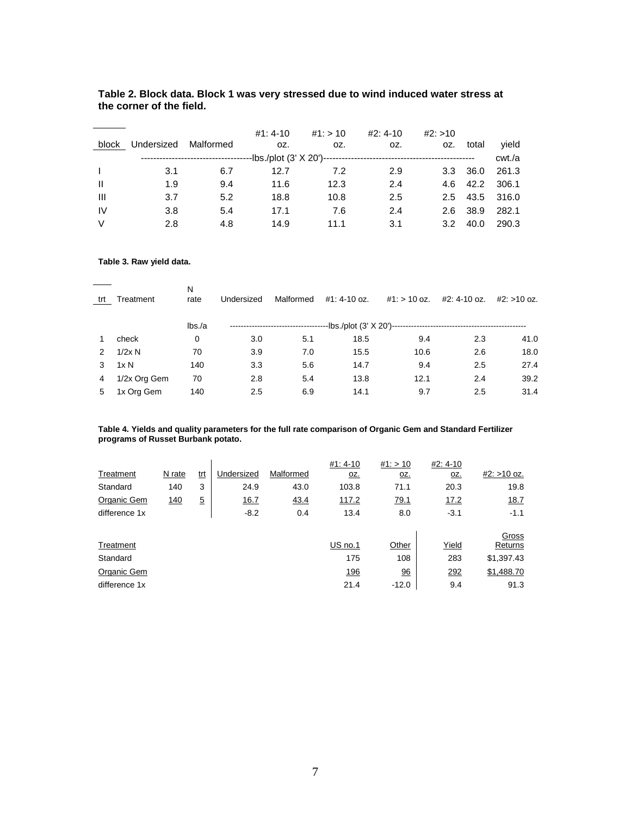|           |            |           | $#1: 4-10$ | #1: > 10 | $#2: 4-10$ | #2: >10 |          |                |
|-----------|------------|-----------|------------|----------|------------|---------|----------|----------------|
| block     | Undersized | Malformed | OZ.        | OZ.      | OZ.        | OZ.     | total    | vield          |
|           |            |           |            |          |            |         |          | cwt./a         |
|           | 3.1        | 6.7       | 12.7       | 7.2      | 2.9        |         | 3.3 36.0 | 261.3          |
| Ш         | 1.9        | 9.4       | 11.6       | 12.3     | 2.4        |         | 4.6 42.2 | 306.1          |
| Ш         | 3.7        | 5.2       | 18.8       | 10.8     | 2.5        |         |          | 2.5 43.5 316.0 |
| <b>IV</b> | 3.8        | 5.4       | 17.1       | 7.6      | 2.4        |         | 2.6 38.9 | 282.1          |
| V         | 2.8        | 4.8       | 14.9       | 11 1     | 3.1        | 3.2     | 40.0     | 290.3          |

#### **Table 2. Block data. Block 1 was very stressed due to wind induced water stress at the corner of the field.**

#### **Table 3. Raw yield data.**

 $\sim 10^{-11}$ 

| trt           | Treatment    | N<br>rate | Undersized | Malformed | #1: 4-10 oz.               | #1: > 10 oz. | #2: 4-10 oz. | #2: >10 oz. |
|---------------|--------------|-----------|------------|-----------|----------------------------|--------------|--------------|-------------|
|               |              | lbs/a     |            |           | ---lbs./plot (3' X 20')--- |              |              |             |
|               | check        | 0         | 3.0        | 5.1       | 18.5                       | 9.4          | 2.3          | 41.0        |
| $\mathcal{P}$ | 1/2x N       | 70        | 3.9        | 7.0       | 15.5                       | 10.6         | 2.6          | 18.0        |
| 3             | 1xN          | 140       | 3.3        | 5.6       | 14.7                       | 9.4          | 2.5          | 27.4        |
| 4             | 1/2x Org Gem | 70        | 2.8        | 5.4       | 13.8                       | 12.1         | 2.4          | 39.2        |
| 5             | 1x Org Gem   | 140       | 2.5        | 6.9       | 14.1                       | 9.7          | 2.5          | 31.4        |
|               |              |           |            |           |                            |              |              |             |

#### **Table 4. Yields and quality parameters for the full rate comparison of Organic Gem and Standard Fertilizer programs of Russet Burbank potato.**

|               |             |                |             |           | #1: 4-10   | #1: > 10   | #2: 4-10   |               |
|---------------|-------------|----------------|-------------|-----------|------------|------------|------------|---------------|
| Treatment     | N rate      | <u>trt</u>     | Undersized  | Malformed | <u>oz.</u> | <u>oz.</u> | <u>oz.</u> | $#2: >10$ oz. |
| Standard      | 140         | 3              | 24.9        | 43.0      | 103.8      | 71.1       | 20.3       | 19.8          |
| Organic Gem   | <u> 140</u> | $\overline{5}$ | <u>16.7</u> | 43.4      | 117.2      | 79.1       | 17.2       | 18.7          |
| difference 1x |             |                | $-8.2$      | 0.4       | 13.4       | 8.0        | $-3.1$     | $-1.1$        |
|               |             |                |             |           |            |            |            | Gross         |
| Treatment     |             |                |             |           | US no.1    | Other      | Yield      | Returns       |
| Standard      |             |                |             |           | 175        | 108        | 283        | \$1,397.43    |
| Organic Gem   |             |                |             |           | 196        | 96         | 292        | \$1,488.70    |
| difference 1x |             |                |             |           | 21.4       | $-12.0$    | 9.4        | 91.3          |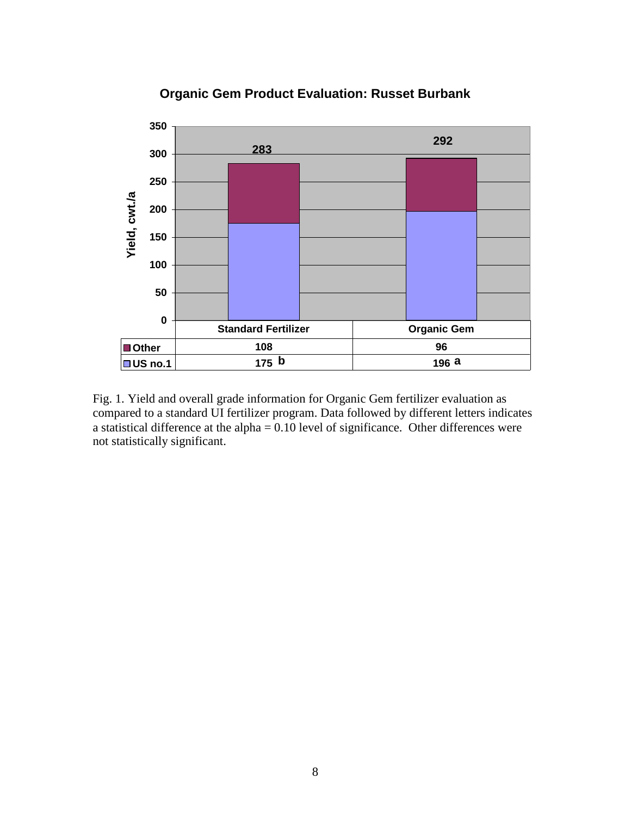## **Organic Gem Product Evaluation: Russet Burbank**



Fig. 1. Yield and overall grade information for Organic Gem fertilizer evaluation as compared to a standard UI fertilizer program. Data followed by different letters indicates a statistical difference at the alpha =  $0.10$  level of significance. Other differences were not statistically significant.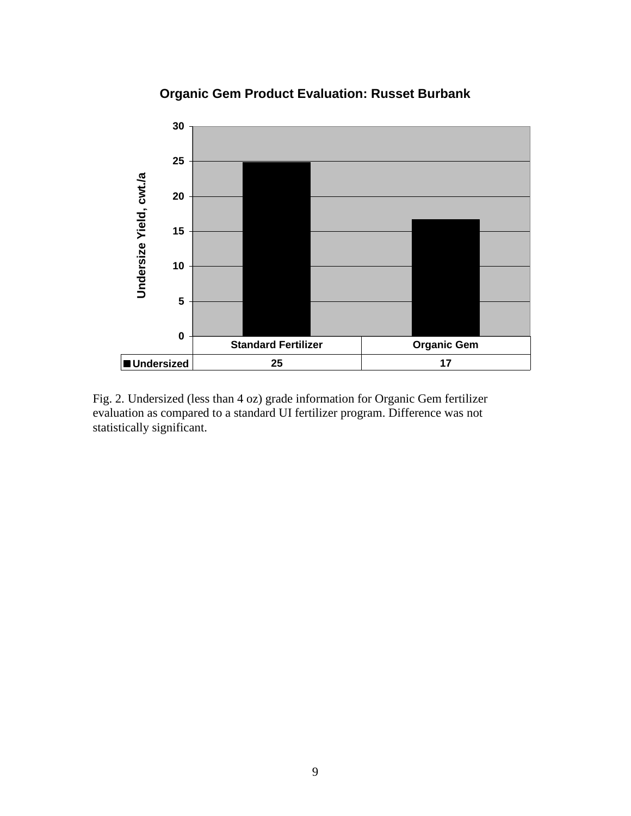**Organic Gem Product Evaluation: Russet Burbank** 



Fig. 2. Undersized (less than 4 oz) grade information for Organic Gem fertilizer evaluation as compared to a standard UI fertilizer program. Difference was not statistically significant.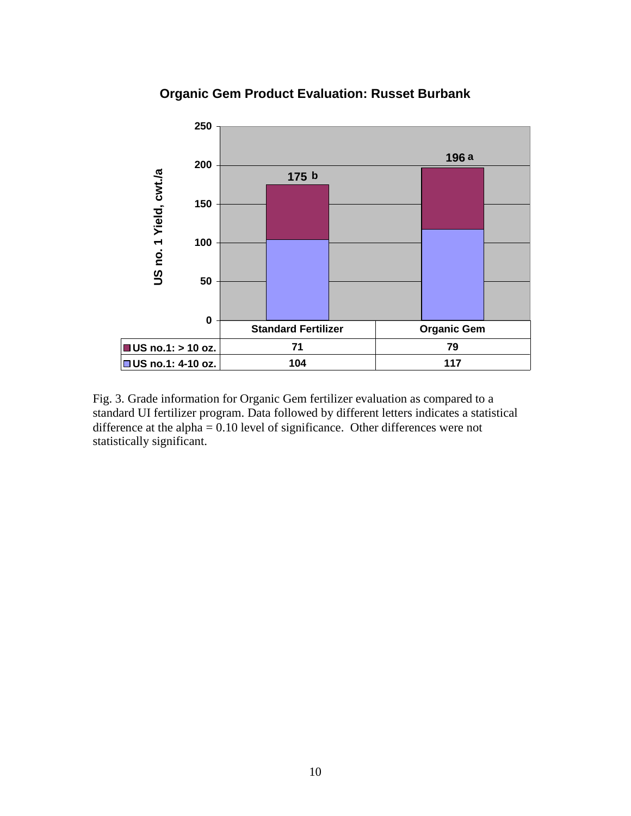**Organic Gem Product Evaluation: Russet Burbank** 



Fig. 3. Grade information for Organic Gem fertilizer evaluation as compared to a standard UI fertilizer program. Data followed by different letters indicates a statistical difference at the alpha  $= 0.10$  level of significance. Other differences were not statistically significant.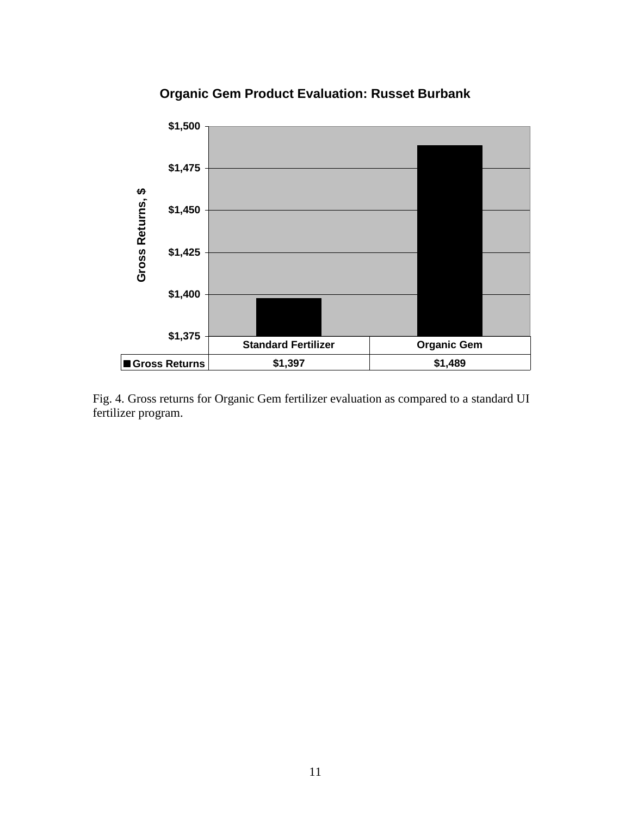**Organic Gem Product Evaluation: Russet Burbank** 



Fig. 4. Gross returns for Organic Gem fertilizer evaluation as compared to a standard UI fertilizer program.